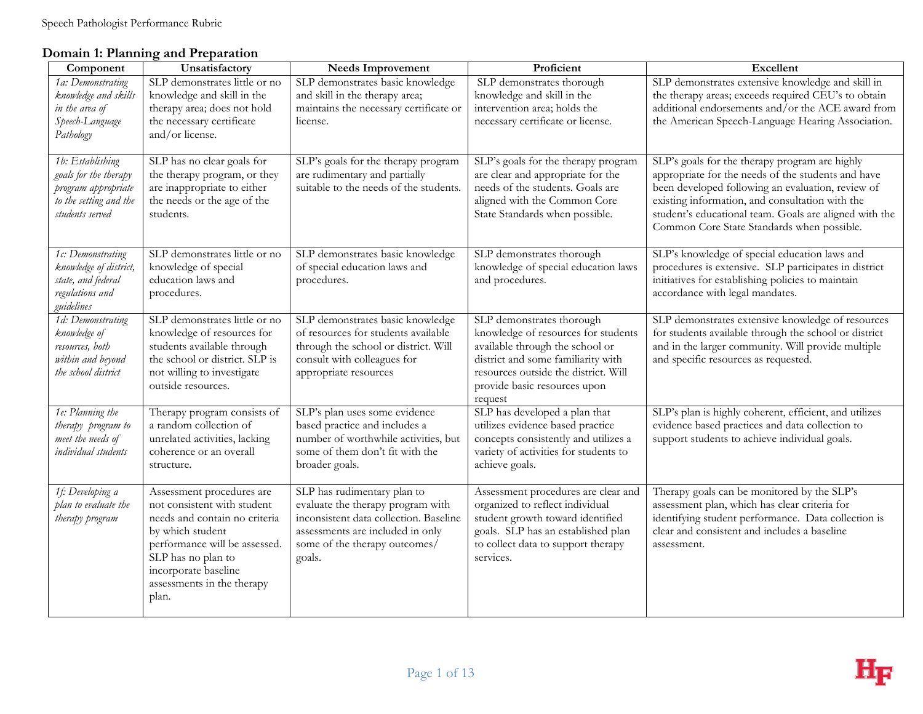## **Domain 1: Planning and Preparation**

| Component                            | Unsatisfactory                                           | <b>Needs Improvement</b>                                                    | Proficient                                                             | Excellent                                                                                  |
|--------------------------------------|----------------------------------------------------------|-----------------------------------------------------------------------------|------------------------------------------------------------------------|--------------------------------------------------------------------------------------------|
| 1a: Demonstrating                    | SLP demonstrates little or no                            | SLP demonstrates basic knowledge                                            | SLP demonstrates thorough                                              | SLP demonstrates extensive knowledge and skill in                                          |
| knowledge and skills                 | knowledge and skill in the                               | and skill in the therapy area;                                              | knowledge and skill in the                                             | the therapy areas; exceeds required CEU's to obtain                                        |
| in the area of                       | therapy area; does not hold                              | maintains the necessary certificate or                                      | intervention area; holds the                                           | additional endorsements and/or the ACE award from                                          |
| Speech-Language                      | the necessary certificate                                | license.                                                                    | necessary certificate or license.                                      | the American Speech-Language Hearing Association.                                          |
| Pathology                            | and/or license.                                          |                                                                             |                                                                        |                                                                                            |
| 1b: Establishing                     | SLP has no clear goals for                               | SLP's goals for the therapy program                                         | SLP's goals for the therapy program                                    | SLP's goals for the therapy program are highly                                             |
| goals for the therapy                | the therapy program, or they                             | are rudimentary and partially                                               | are clear and appropriate for the                                      | appropriate for the needs of the students and have                                         |
| program appropriate                  | are inappropriate to either                              | suitable to the needs of the students.                                      | needs of the students. Goals are                                       | been developed following an evaluation, review of                                          |
| to the setting and the               | the needs or the age of the                              |                                                                             | aligned with the Common Core                                           | existing information, and consultation with the                                            |
| students served                      | students.                                                |                                                                             | State Standards when possible.                                         | student's educational team. Goals are aligned with the                                     |
|                                      |                                                          |                                                                             |                                                                        | Common Core State Standards when possible.                                                 |
| 1c: Demonstrating                    | SLP demonstrates little or no                            | SLP demonstrates basic knowledge                                            | SLP demonstrates thorough                                              | SLP's knowledge of special education laws and                                              |
| knowledge of district,               | knowledge of special                                     | of special education laws and                                               | knowledge of special education laws                                    | procedures is extensive. SLP participates in district                                      |
| state, and federal                   | education laws and                                       | procedures.                                                                 | and procedures.                                                        | initiatives for establishing policies to maintain                                          |
| regulations and                      | procedures.                                              |                                                                             |                                                                        | accordance with legal mandates.                                                            |
| guidelines                           |                                                          |                                                                             |                                                                        |                                                                                            |
| 1d: Demonstrating                    | SLP demonstrates little or no                            | SLP demonstrates basic knowledge                                            | SLP demonstrates thorough                                              | SLP demonstrates extensive knowledge of resources                                          |
| knowledge of                         | knowledge of resources for<br>students available through | of resources for students available<br>through the school or district. Will | knowledge of resources for students<br>available through the school or | for students available through the school or district                                      |
| resources, both<br>within and beyond | the school or district. SLP is                           | consult with colleagues for                                                 | district and some familiarity with                                     | and in the larger community. Will provide multiple<br>and specific resources as requested. |
| the school district                  | not willing to investigate                               | appropriate resources                                                       | resources outside the district. Will                                   |                                                                                            |
|                                      | outside resources.                                       |                                                                             | provide basic resources upon                                           |                                                                                            |
|                                      |                                                          |                                                                             | request                                                                |                                                                                            |
| 1e: Planning the                     | Therapy program consists of                              | SLP's plan uses some evidence                                               | SLP has developed a plan that                                          | SLP's plan is highly coherent, efficient, and utilizes                                     |
| therapy program to                   | a random collection of                                   | based practice and includes a                                               | utilizes evidence based practice                                       | evidence based practices and data collection to                                            |
| meet the needs of                    | unrelated activities, lacking                            | number of worthwhile activities, but                                        | concepts consistently and utilizes a                                   | support students to achieve individual goals.                                              |
| individual students                  | coherence or an overall                                  | some of them don't fit with the                                             | variety of activities for students to                                  |                                                                                            |
|                                      | structure.                                               | broader goals.                                                              | achieve goals.                                                         |                                                                                            |
| 1f: Developing a                     | Assessment procedures are                                | SLP has rudimentary plan to                                                 | Assessment procedures are clear and                                    | Therapy goals can be monitored by the SLP's                                                |
| plan to evaluate the                 | not consistent with student                              | evaluate the therapy program with                                           | organized to reflect individual                                        | assessment plan, which has clear criteria for                                              |
| therapy program                      | needs and contain no criteria                            | inconsistent data collection. Baseline                                      | student growth toward identified                                       | identifying student performance. Data collection is                                        |
|                                      | by which student                                         | assessments are included in only                                            | goals. SLP has an established plan                                     | clear and consistent and includes a baseline                                               |
|                                      | performance will be assessed.                            | some of the therapy outcomes/                                               | to collect data to support therapy                                     | assessment.                                                                                |
|                                      | SLP has no plan to                                       | goals.                                                                      | services.                                                              |                                                                                            |
|                                      | incorporate baseline                                     |                                                                             |                                                                        |                                                                                            |
|                                      | assessments in the therapy                               |                                                                             |                                                                        |                                                                                            |
|                                      | plan.                                                    |                                                                             |                                                                        |                                                                                            |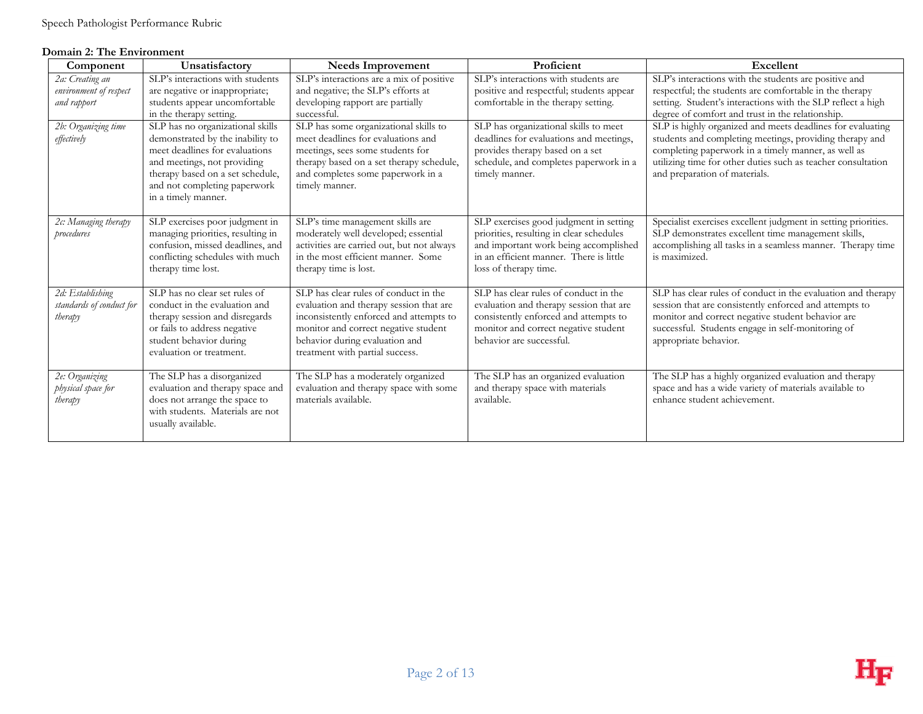#### **Domain 2: The Environment**

| Component                                                | Unsatisfactory                                                                                                                                                                                                                   | <b>Needs Improvement</b>                                                                                                                                                                                                                 | Proficient                                                                                                                                                                                      | Excellent                                                                                                                                                                                                                                                                     |
|----------------------------------------------------------|----------------------------------------------------------------------------------------------------------------------------------------------------------------------------------------------------------------------------------|------------------------------------------------------------------------------------------------------------------------------------------------------------------------------------------------------------------------------------------|-------------------------------------------------------------------------------------------------------------------------------------------------------------------------------------------------|-------------------------------------------------------------------------------------------------------------------------------------------------------------------------------------------------------------------------------------------------------------------------------|
| 2a: Creating an<br>environment of respect<br>and rapport | SLP's interactions with students<br>are negative or inappropriate;<br>students appear uncomfortable<br>in the therapy setting.                                                                                                   | SLP's interactions are a mix of positive<br>and negative; the SLP's efforts at<br>developing rapport are partially<br>successful.                                                                                                        | SLP's interactions with students are<br>positive and respectful; students appear<br>comfortable in the therapy setting.                                                                         | SLP's interactions with the students are positive and<br>respectful; the students are comfortable in the therapy<br>setting. Student's interactions with the SLP reflect a high<br>degree of comfort and trust in the relationship.                                           |
| 2b: Organizing time<br>effectively                       | SLP has no organizational skills<br>demonstrated by the inability to<br>meet deadlines for evaluations<br>and meetings, not providing<br>therapy based on a set schedule,<br>and not completing paperwork<br>in a timely manner. | SLP has some organizational skills to<br>meet deadlines for evaluations and<br>meetings, sees some students for<br>therapy based on a set therapy schedule,<br>and completes some paperwork in a<br>timely manner.                       | SLP has organizational skills to meet<br>deadlines for evaluations and meetings,<br>provides therapy based on a set<br>schedule, and completes paperwork in a<br>timely manner.                 | SLP is highly organized and meets deadlines for evaluating<br>students and completing meetings, providing therapy and<br>completing paperwork in a timely manner, as well as<br>utilizing time for other duties such as teacher consultation<br>and preparation of materials. |
| 2c: Managing therapy<br>procedures                       | SLP exercises poor judgment in<br>managing priorities, resulting in<br>confusion, missed deadlines, and<br>conflicting schedules with much<br>therapy time lost.                                                                 | SLP's time management skills are<br>moderately well developed; essential<br>activities are carried out, but not always<br>in the most efficient manner. Some<br>therapy time is lost.                                                    | SLP exercises good judgment in setting<br>priorities, resulting in clear schedules<br>and important work being accomplished<br>in an efficient manner. There is little<br>loss of therapy time. | Specialist exercises excellent judgment in setting priorities.<br>SLP demonstrates excellent time management skills,<br>accomplishing all tasks in a seamless manner. Therapy time<br>is maximized.                                                                           |
| 2d: Establishing<br>standards of conduct for<br>therapy  | SLP has no clear set rules of<br>conduct in the evaluation and<br>therapy session and disregards<br>or fails to address negative<br>student behavior during<br>evaluation or treatment.                                          | SLP has clear rules of conduct in the<br>evaluation and therapy session that are<br>inconsistently enforced and attempts to<br>monitor and correct negative student<br>behavior during evaluation and<br>treatment with partial success. | SLP has clear rules of conduct in the<br>evaluation and therapy session that are<br>consistently enforced and attempts to<br>monitor and correct negative student<br>behavior are successful.   | SLP has clear rules of conduct in the evaluation and therapy<br>session that are consistently enforced and attempts to<br>monitor and correct negative student behavior are<br>successful. Students engage in self-monitoring of<br>appropriate behavior.                     |
| 2e: Organizing<br>physical space for<br>therapy          | The SLP has a disorganized<br>evaluation and therapy space and<br>does not arrange the space to<br>with students. Materials are not<br>usually available.                                                                        | The SLP has a moderately organized<br>evaluation and therapy space with some<br>materials available.                                                                                                                                     | The SLP has an organized evaluation<br>and therapy space with materials<br>available.                                                                                                           | The SLP has a highly organized evaluation and therapy<br>space and has a wide variety of materials available to<br>enhance student achievement.                                                                                                                               |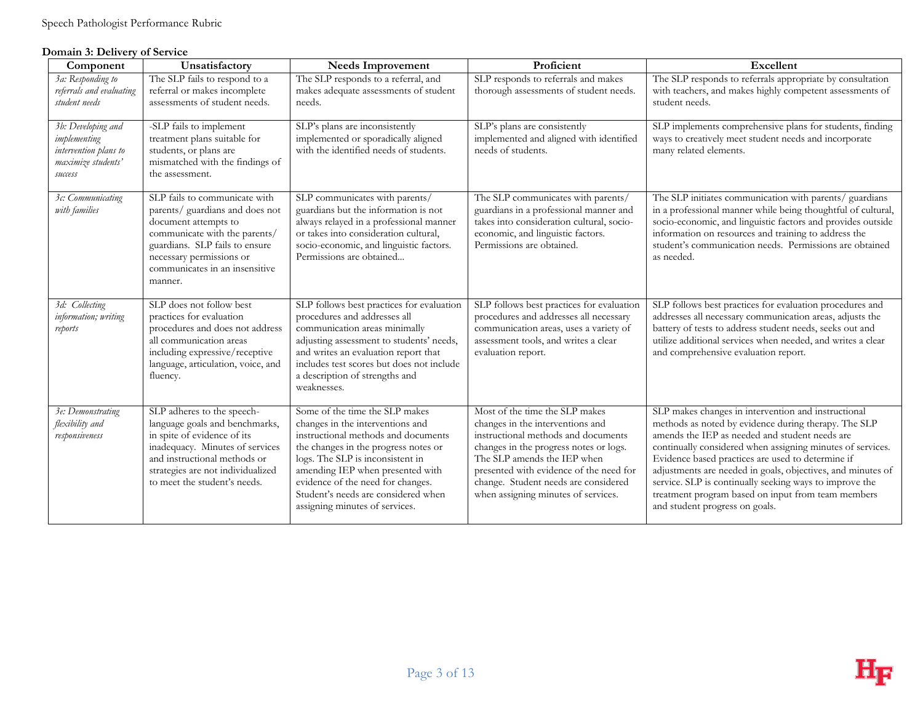#### **Domain 3: Delivery of Service**

| Component                                                                                    | Unsatisfactory                                                                                                                                                                                                                       | <b>Needs Improvement</b>                                                                                                                                                                                                                                                                                                                | Proficient                                                                                                                                                                                                                                                                                                   | Excellent                                                                                                                                                                                                                                                                                                                                                                                                                                                                                          |
|----------------------------------------------------------------------------------------------|--------------------------------------------------------------------------------------------------------------------------------------------------------------------------------------------------------------------------------------|-----------------------------------------------------------------------------------------------------------------------------------------------------------------------------------------------------------------------------------------------------------------------------------------------------------------------------------------|--------------------------------------------------------------------------------------------------------------------------------------------------------------------------------------------------------------------------------------------------------------------------------------------------------------|----------------------------------------------------------------------------------------------------------------------------------------------------------------------------------------------------------------------------------------------------------------------------------------------------------------------------------------------------------------------------------------------------------------------------------------------------------------------------------------------------|
| 3a: Responding to<br>referrals and evaluating<br>student needs                               | The SLP fails to respond to a<br>referral or makes incomplete<br>assessments of student needs.                                                                                                                                       | The SLP responds to a referral, and<br>makes adequate assessments of student<br>needs.                                                                                                                                                                                                                                                  | SLP responds to referrals and makes<br>thorough assessments of student needs.                                                                                                                                                                                                                                | The SLP responds to referrals appropriate by consultation<br>with teachers, and makes highly competent assessments of<br>student needs.                                                                                                                                                                                                                                                                                                                                                            |
| 3b: Developing and<br>implementing<br>intervention plans to<br>maximize students'<br>success | -SLP fails to implement<br>treatment plans suitable for<br>students, or plans are<br>mismatched with the findings of<br>the assessment.                                                                                              | SLP's plans are inconsistently<br>implemented or sporadically aligned<br>with the identified needs of students.                                                                                                                                                                                                                         | SLP's plans are consistently<br>implemented and aligned with identified<br>needs of students.                                                                                                                                                                                                                | SLP implements comprehensive plans for students, finding<br>ways to creatively meet student needs and incorporate<br>many related elements.                                                                                                                                                                                                                                                                                                                                                        |
| 3c: Communicating<br>with families                                                           | SLP fails to communicate with<br>parents/ guardians and does not<br>document attempts to<br>communicate with the parents/<br>guardians. SLP fails to ensure<br>necessary permissions or<br>communicates in an insensitive<br>manner. | SLP communicates with parents/<br>guardians but the information is not<br>always relayed in a professional manner<br>or takes into consideration cultural,<br>socio-economic, and linguistic factors.<br>Permissions are obtained                                                                                                       | The SLP communicates with parents/<br>guardians in a professional manner and<br>takes into consideration cultural, socio-<br>economic, and linguistic factors.<br>Permissions are obtained.                                                                                                                  | The SLP initiates communication with parents/ guardians<br>in a professional manner while being thoughtful of cultural,<br>socio-economic, and linguistic factors and provides outside<br>information on resources and training to address the<br>student's communication needs. Permissions are obtained<br>as needed.                                                                                                                                                                            |
| 3d: Collecting<br>information; writing<br>reports                                            | SLP does not follow best<br>practices for evaluation<br>procedures and does not address<br>all communication areas<br>including expressive/receptive<br>language, articulation, voice, and<br>fluency.                               | SLP follows best practices for evaluation<br>procedures and addresses all<br>communication areas minimally<br>adjusting assessment to students' needs,<br>and writes an evaluation report that<br>includes test scores but does not include<br>a description of strengths and<br>weaknesses.                                            | SLP follows best practices for evaluation<br>procedures and addresses all necessary<br>communication areas, uses a variety of<br>assessment tools, and writes a clear<br>evaluation report.                                                                                                                  | SLP follows best practices for evaluation procedures and<br>addresses all necessary communication areas, adjusts the<br>battery of tests to address student needs, seeks out and<br>utilize additional services when needed, and writes a clear<br>and comprehensive evaluation report.                                                                                                                                                                                                            |
| 3e: Demonstrating<br>flexibility and<br>responsiveness                                       | SLP adheres to the speech-<br>language goals and benchmarks,<br>in spite of evidence of its<br>inadequacy. Minutes of services<br>and instructional methods or<br>strategies are not individualized<br>to meet the student's needs.  | Some of the time the SLP makes<br>changes in the interventions and<br>instructional methods and documents<br>the changes in the progress notes or<br>logs. The SLP is inconsistent in<br>amending IEP when presented with<br>evidence of the need for changes.<br>Student's needs are considered when<br>assigning minutes of services. | Most of the time the SLP makes<br>changes in the interventions and<br>instructional methods and documents<br>changes in the progress notes or logs.<br>The SLP amends the IEP when<br>presented with evidence of the need for<br>change. Student needs are considered<br>when assigning minutes of services. | SLP makes changes in intervention and instructional<br>methods as noted by evidence during therapy. The SLP<br>amends the IEP as needed and student needs are<br>continually considered when assigning minutes of services.<br>Evidence based practices are used to determine if<br>adjustments are needed in goals, objectives, and minutes of<br>service. SLP is continually seeking ways to improve the<br>treatment program based on input from team members<br>and student progress on goals. |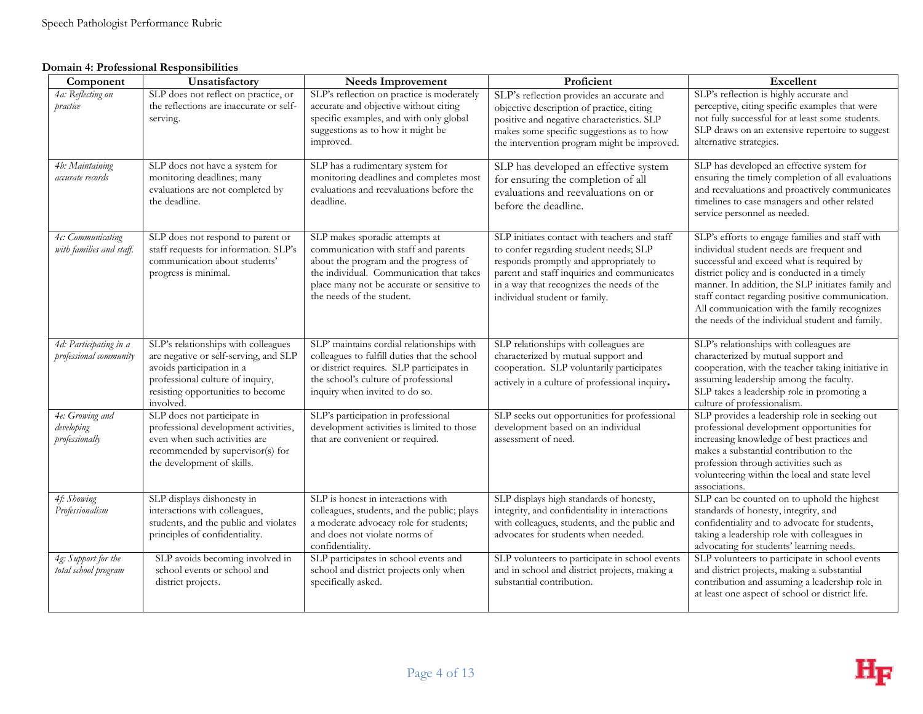#### **Domain 4: Professional Responsibilities**

| Component                                        | Unsatisfactory                                                                                                                                                                                  | <b>Needs Improvement</b>                                                                                                                                                                                                               | Proficient                                                                                                                                                                                                                                                     | Excellent                                                                                                                                                                                                                                                                                                                                                                                            |
|--------------------------------------------------|-------------------------------------------------------------------------------------------------------------------------------------------------------------------------------------------------|----------------------------------------------------------------------------------------------------------------------------------------------------------------------------------------------------------------------------------------|----------------------------------------------------------------------------------------------------------------------------------------------------------------------------------------------------------------------------------------------------------------|------------------------------------------------------------------------------------------------------------------------------------------------------------------------------------------------------------------------------------------------------------------------------------------------------------------------------------------------------------------------------------------------------|
| 4a: Reflecting on<br>practice                    | SLP does not reflect on practice, or<br>the reflections are inaccurate or self-<br>serving.                                                                                                     | SLP's reflection on practice is moderately<br>accurate and objective without citing<br>specific examples, and with only global<br>suggestions as to how it might be<br>improved.                                                       | SLP's reflection provides an accurate and<br>objective description of practice, citing<br>positive and negative characteristics. SLP<br>makes some specific suggestions as to how<br>the intervention program might be improved.                               | SLP's reflection is highly accurate and<br>perceptive, citing specific examples that were<br>not fully successful for at least some students.<br>SLP draws on an extensive repertoire to suggest<br>alternative strategies.                                                                                                                                                                          |
| 4b: Maintaining<br>accurate records              | SLP does not have a system for<br>monitoring deadlines; many<br>evaluations are not completed by<br>the deadline.                                                                               | SLP has a rudimentary system for<br>monitoring deadlines and completes most<br>evaluations and reevaluations before the<br>deadline.                                                                                                   | SLP has developed an effective system<br>for ensuring the completion of all<br>evaluations and reevaluations on or<br>before the deadline.                                                                                                                     | SLP has developed an effective system for<br>ensuring the timely completion of all evaluations<br>and reevaluations and proactively communicates<br>timelines to case managers and other related<br>service personnel as needed.                                                                                                                                                                     |
| 4c: Communicating<br>with families and staff.    | SLP does not respond to parent or<br>staff requests for information. SLP's<br>communication about students'<br>progress is minimal.                                                             | SLP makes sporadic attempts at<br>communication with staff and parents<br>about the program and the progress of<br>the individual. Communication that takes<br>place many not be accurate or sensitive to<br>the needs of the student. | SLP initiates contact with teachers and staff<br>to confer regarding student needs; SLP<br>responds promptly and appropriately to<br>parent and staff inquiries and communicates<br>in a way that recognizes the needs of the<br>individual student or family. | SLP's efforts to engage families and staff with<br>individual student needs are frequent and<br>successful and exceed what is required by<br>district policy and is conducted in a timely<br>manner. In addition, the SLP initiates family and<br>staff contact regarding positive communication.<br>All communication with the family recognizes<br>the needs of the individual student and family. |
| 4d: Participating in a<br>professional community | SLP's relationships with colleagues<br>are negative or self-serving, and SLP<br>avoids participation in a<br>professional culture of inquiry,<br>resisting opportunities to become<br>involved. | SLP' maintains cordial relationships with<br>colleagues to fulfill duties that the school<br>or district requires. SLP participates in<br>the school's culture of professional<br>inquiry when invited to do so.                       | SLP relationships with colleagues are<br>characterized by mutual support and<br>cooperation. SLP voluntarily participates<br>actively in a culture of professional inquiry.                                                                                    | SLP's relationships with colleagues are<br>characterized by mutual support and<br>cooperation, with the teacher taking initiative in<br>assuming leadership among the faculty.<br>SLP takes a leadership role in promoting a<br>culture of professionalism.                                                                                                                                          |
| 4e: Growing and<br>developing<br>professionally  | SLP does not participate in<br>professional development activities,<br>even when such activities are<br>recommended by supervisor(s) for<br>the development of skills.                          | SLP's participation in professional<br>development activities is limited to those<br>that are convenient or required.                                                                                                                  | SLP seeks out opportunities for professional<br>development based on an individual<br>assessment of need.                                                                                                                                                      | SLP provides a leadership role in seeking out<br>professional development opportunities for<br>increasing knowledge of best practices and<br>makes a substantial contribution to the<br>profession through activities such as<br>volunteering within the local and state level<br>associations.                                                                                                      |
| 4f: Showing<br>Professionalism                   | SLP displays dishonesty in<br>interactions with colleagues,<br>students, and the public and violates<br>principles of confidentiality.                                                          | SLP is honest in interactions with<br>colleagues, students, and the public; plays<br>a moderate advocacy role for students;<br>and does not violate norms of<br>confidentiality.                                                       | SLP displays high standards of honesty,<br>integrity, and confidentiality in interactions<br>with colleagues, students, and the public and<br>advocates for students when needed.                                                                              | SLP can be counted on to uphold the highest<br>standards of honesty, integrity, and<br>confidentiality and to advocate for students,<br>taking a leadership role with colleagues in<br>advocating for students' learning needs.                                                                                                                                                                      |
| 4g: Support for the<br>total school program      | SLP avoids becoming involved in<br>school events or school and<br>district projects.                                                                                                            | SLP participates in school events and<br>school and district projects only when<br>specifically asked.                                                                                                                                 | SLP volunteers to participate in school events<br>and in school and district projects, making a<br>substantial contribution.                                                                                                                                   | SLP volunteers to participate in school events<br>and district projects, making a substantial<br>contribution and assuming a leadership role in<br>at least one aspect of school or district life.                                                                                                                                                                                                   |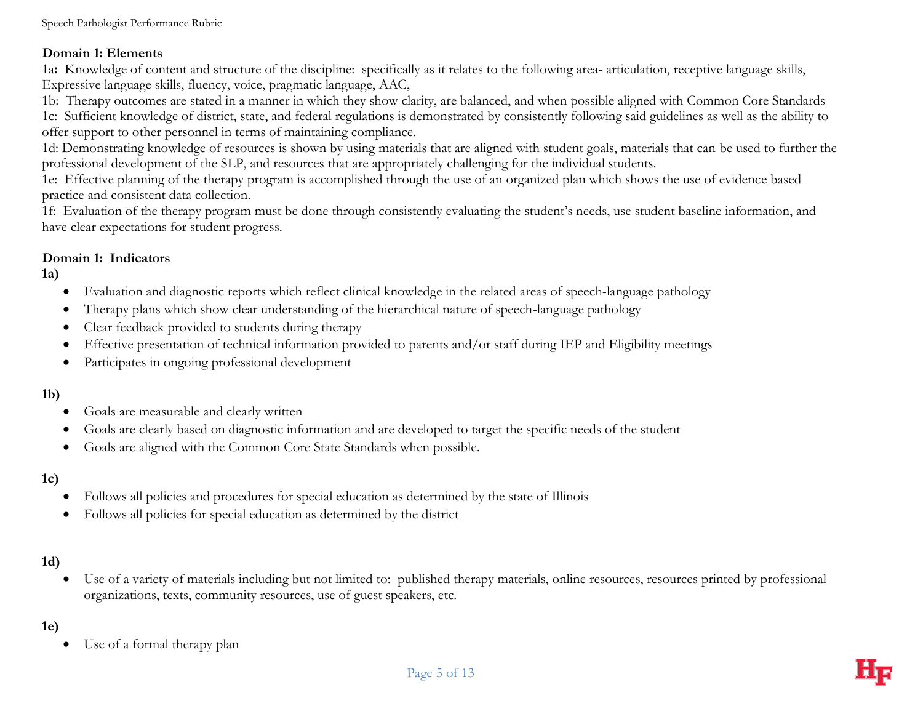#### **Domain 1: Elements**

1a**:** Knowledge of content and structure of the discipline: specifically as it relates to the following area- articulation, receptive language skills, Expressive language skills, fluency, voice, pragmatic language, AAC,

1b: Therapy outcomes are stated in a manner in which they show clarity, are balanced, and when possible aligned with Common Core Standards 1c: Sufficient knowledge of district, state, and federal regulations is demonstrated by consistently following said guidelines as well as the ability to offer support to other personnel in terms of maintaining compliance.

1d: Demonstrating knowledge of resources is shown by using materials that are aligned with student goals, materials that can be used to further the professional development of the SLP, and resources that are appropriately challenging for the individual students.

1e: Effective planning of the therapy program is accomplished through the use of an organized plan which shows the use of evidence based practice and consistent data collection.

1f: Evaluation of the therapy program must be done through consistently evaluating the student's needs, use student baseline information, and have clear expectations for student progress.

## **Domain 1: Indicators**

**1a)**

- Evaluation and diagnostic reports which reflect clinical knowledge in the related areas of speech-language pathology
- Therapy plans which show clear understanding of the hierarchical nature of speech-language pathology
- Clear feedback provided to students during therapy
- Effective presentation of technical information provided to parents and/or staff during IEP and Eligibility meetings
- Participates in ongoing professional development

# **1b)**

- Goals are measurable and clearly written
- Goals are clearly based on diagnostic information and are developed to target the specific needs of the student
- Goals are aligned with the Common Core State Standards when possible.

# **1c)**

- Follows all policies and procedures for special education as determined by the state of Illinois
- Follows all policies for special education as determined by the district

# **1d)**

 Use of a variety of materials including but not limited to: published therapy materials, online resources, resources printed by professional organizations, texts, community resources, use of guest speakers, etc.

# **1e)**

Use of a formal therapy plan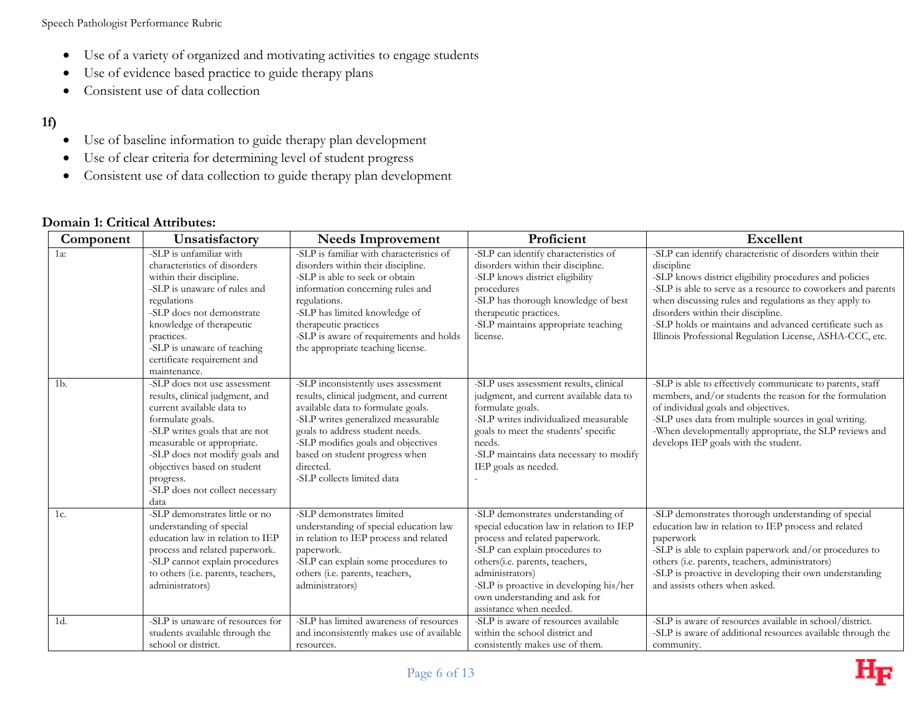Speech Pathologist Performance Rubric

- Use of a variety of organized and motivating activities to engage students
- Use of evidence based practice to guide therapy plans
- Consistent use of data collection

#### **1f)**

- Use of baseline information to guide therapy plan development
- Use of clear criteria for determining level of student progress
- Consistent use of data collection to guide therapy plan development

#### **Domain 1: Critical Attributes:**

| Component      | Unsatisfactory                                                                                                                                                                                                                                                                                            | <b>Needs Improvement</b>                                                                                                                                                                                                                                                                                         | Proficient                                                                                                                                                                                                                                                                                                      | <b>Excellent</b>                                                                                                                                                                                                                                                                                                                                                                                                            |
|----------------|-----------------------------------------------------------------------------------------------------------------------------------------------------------------------------------------------------------------------------------------------------------------------------------------------------------|------------------------------------------------------------------------------------------------------------------------------------------------------------------------------------------------------------------------------------------------------------------------------------------------------------------|-----------------------------------------------------------------------------------------------------------------------------------------------------------------------------------------------------------------------------------------------------------------------------------------------------------------|-----------------------------------------------------------------------------------------------------------------------------------------------------------------------------------------------------------------------------------------------------------------------------------------------------------------------------------------------------------------------------------------------------------------------------|
| 1a:            | -SLP is unfamiliar with<br>characteristics of disorders<br>within their discipline.<br>-SLP is unaware of rules and<br>regulations<br>-SLP does not demonstrate<br>knowledge of therapeutic<br>practices.<br>-SLP is unaware of teaching<br>certificate requirement and<br>maintenance.                   | -SLP is familiar with characteristics of<br>disorders within their discipline.<br>-SLP is able to seek or obtain<br>information concerning rules and<br>regulations.<br>-SLP has limited knowledge of<br>therapeutic practices<br>-SLP is aware of requirements and holds<br>the appropriate teaching license.   | -SLP can identify characteristics of<br>disorders within their discipline.<br>-SLP knows district eligibility<br>procedures<br>-SLP has thorough knowledge of best<br>therapeutic practices.<br>-SLP maintains appropriate teaching<br>license.                                                                 | -SLP can identify characteristic of disorders within their<br>discipline<br>-SLP knows district eligibility procedures and policies<br>-SLP is able to serve as a resource to coworkers and parents<br>when discussing rules and regulations as they apply to<br>disorders within their discipline.<br>-SLP holds or maintains and advanced certificate such as<br>Illinois Professional Regulation License, ASHA-CCC, etc. |
| 1 <sub>b</sub> | -SLP does not use assessment<br>results, clinical judgment, and<br>current available data to<br>formulate goals.<br>-SLP writes goals that are not<br>measurable or appropriate.<br>-SLP does not modify goals and<br>objectives based on student<br>progress.<br>-SLP does not collect necessary<br>data | -SLP inconsistently uses assessment<br>results, clinical judgment, and current<br>available data to formulate goals.<br>-SLP writes generalized measurable<br>goals to address student needs.<br>-SLP modifies goals and objectives<br>based on student progress when<br>directed.<br>-SLP collects limited data | -SLP uses assessment results, clinical<br>judgment, and current available data to<br>formulate goals.<br>-SLP writes individualized measurable<br>goals to meet the students' specific<br>needs.<br>-SLP maintains data necessary to modify<br>IEP goals as needed.                                             | -SLP is able to effectively communicate to parents, staff<br>members, and/or students the reason for the formulation<br>of individual goals and objectives.<br>-SLP uses data from multiple sources in goal writing.<br>-When developmentally appropriate, the SLP reviews and<br>develops IEP goals with the student.                                                                                                      |
| $1c$ .         | -SLP demonstrates little or no<br>understanding of special<br>education law in relation to IEP<br>process and related paperwork.<br>-SLP cannot explain procedures<br>to others (i.e. parents, teachers,<br>administrators)                                                                               | -SLP demonstrates limited<br>understanding of special education law<br>in relation to IEP process and related<br>paperwork.<br>-SLP can explain some procedures to<br>others (i.e. parents, teachers,<br>administrators)                                                                                         | -SLP demonstrates understanding of<br>special education law in relation to IEP<br>process and related paperwork.<br>-SLP can explain procedures to<br>others (i.e. parents, teachers,<br>administrators)<br>-SLP is proactive in developing his/her<br>own understanding and ask for<br>assistance when needed. | -SLP demonstrates thorough understanding of special<br>education law in relation to IEP process and related<br>paperwork<br>-SLP is able to explain paperwork and/or procedures to<br>others (i.e. parents, teachers, administrators)<br>-SLP is proactive in developing their own understanding<br>and assists others when asked.                                                                                          |
| $1d$ .         | -SLP is unaware of resources for<br>students available through the<br>school or district.                                                                                                                                                                                                                 | -SLP has limited awareness of resources<br>and inconsistently makes use of available<br>resources.                                                                                                                                                                                                               | -SLP is aware of resources available<br>within the school district and<br>consistently makes use of them.                                                                                                                                                                                                       | -SLP is aware of resources available in school/district.<br>-SLP is aware of additional resources available through the<br>community.                                                                                                                                                                                                                                                                                       |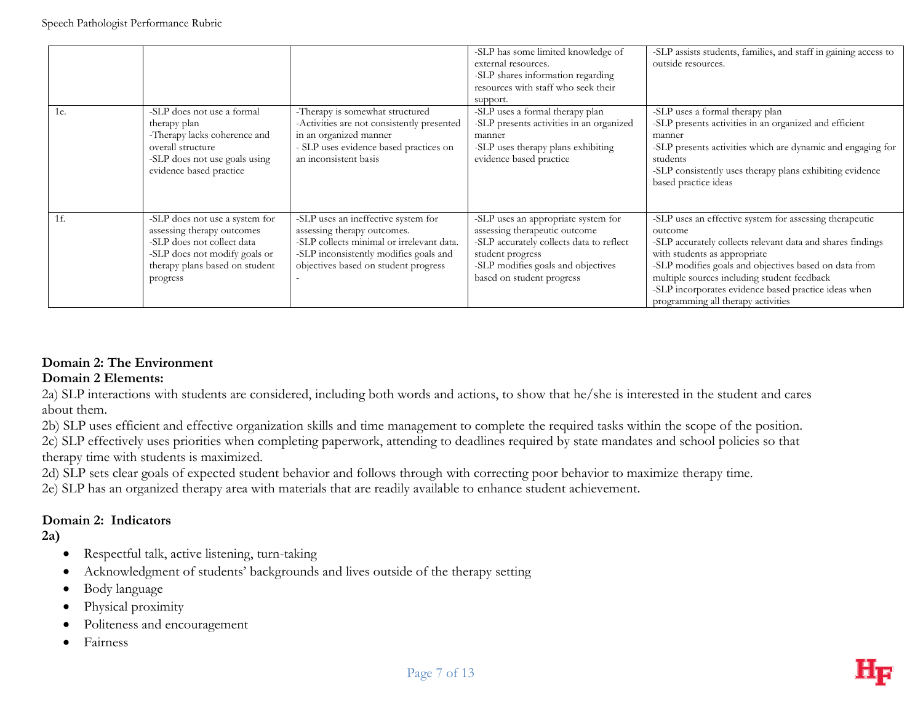|        |                                                                                                                                                                           |                                                                                                                                                                                                   | -SLP has some limited knowledge of<br>external resources.<br>-SLP shares information regarding<br>resources with staff who seek their<br>support.                                                       | -SLP assists students, families, and staff in gaining access to<br>outside resources.                                                                                                                                                                                                                                                                                  |
|--------|---------------------------------------------------------------------------------------------------------------------------------------------------------------------------|---------------------------------------------------------------------------------------------------------------------------------------------------------------------------------------------------|---------------------------------------------------------------------------------------------------------------------------------------------------------------------------------------------------------|------------------------------------------------------------------------------------------------------------------------------------------------------------------------------------------------------------------------------------------------------------------------------------------------------------------------------------------------------------------------|
| 1e.    | -SLP does not use a formal<br>therapy plan<br>-Therapy lacks coherence and<br>overall structure<br>-SLP does not use goals using<br>evidence based practice               | -Therapy is somewhat structured<br>-Activities are not consistently presented<br>in an organized manner<br>- SLP uses evidence based practices on<br>an inconsistent basis                        | -SLP uses a formal therapy plan<br>-SLP presents activities in an organized<br>manner<br>-SLP uses therapy plans exhibiting<br>evidence based practice                                                  | -SLP uses a formal therapy plan<br>-SLP presents activities in an organized and efficient<br>manner<br>-SLP presents activities which are dynamic and engaging for<br>students<br>-SLP consistently uses therapy plans exhibiting evidence<br>based practice ideas                                                                                                     |
| - 1 f. | -SLP does not use a system for<br>assessing therapy outcomes<br>-SLP does not collect data<br>-SLP does not modify goals or<br>therapy plans based on student<br>progress | -SLP uses an ineffective system for<br>assessing therapy outcomes.<br>-SLP collects minimal or irrelevant data.<br>-SLP inconsistently modifies goals and<br>objectives based on student progress | -SLP uses an appropriate system for<br>assessing therapeutic outcome<br>-SLP accurately collects data to reflect<br>student progress<br>-SLP modifies goals and objectives<br>based on student progress | -SLP uses an effective system for assessing therapeutic<br>outcome<br>-SLP accurately collects relevant data and shares findings<br>with students as appropriate<br>-SLP modifies goals and objectives based on data from<br>multiple sources including student feedback<br>-SLP incorporates evidence based practice ideas when<br>programming all therapy activities |

## **Domain 2: The Environment**

#### **Domain 2 Elements:**

2a) SLP interactions with students are considered, including both words and actions, to show that he/she is interested in the student and cares about them.

2b) SLP uses efficient and effective organization skills and time management to complete the required tasks within the scope of the position.

2c) SLP effectively uses priorities when completing paperwork, attending to deadlines required by state mandates and school policies so that therapy time with students is maximized.

2d) SLP sets clear goals of expected student behavior and follows through with correcting poor behavior to maximize therapy time.

2e) SLP has an organized therapy area with materials that are readily available to enhance student achievement.

#### **Domain 2: Indicators**

**2a)**

- Respectful talk, active listening, turn-taking
- Acknowledgment of students' backgrounds and lives outside of the therapy setting
- Body language
- Physical proximity
- Politeness and encouragement
- Fairness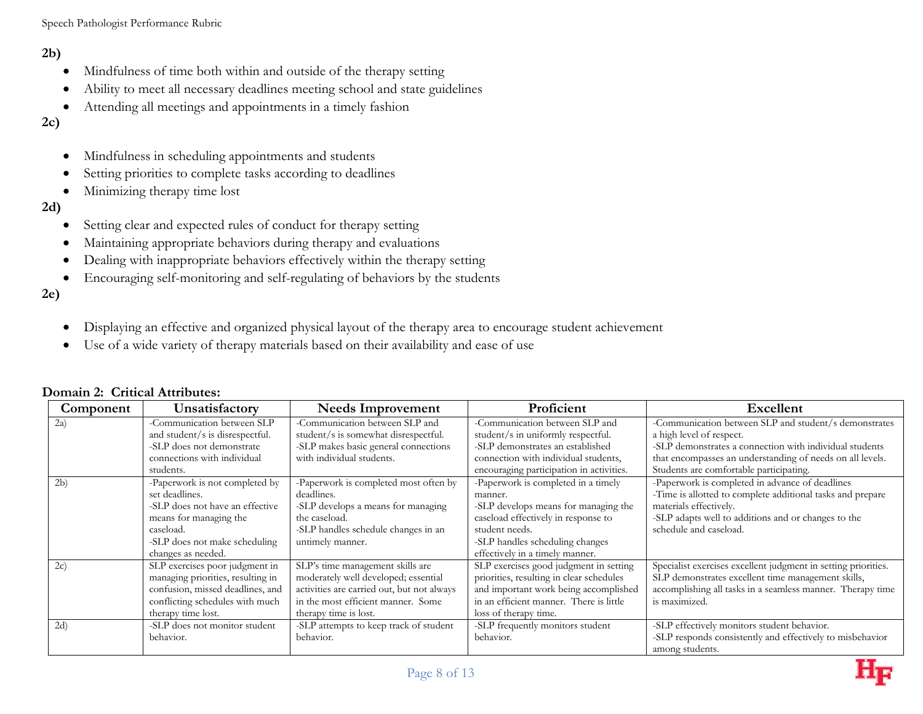Speech Pathologist Performance Rubric

#### **2b)**

- Mindfulness of time both within and outside of the therapy setting
- Ability to meet all necessary deadlines meeting school and state guidelines
- Attending all meetings and appointments in a timely fashion

## **2c)**

- Mindfulness in scheduling appointments and students
- Setting priorities to complete tasks according to deadlines
- Minimizing therapy time lost

#### **2d)**

- Setting clear and expected rules of conduct for therapy setting
- Maintaining appropriate behaviors during therapy and evaluations
- Dealing with inappropriate behaviors effectively within the therapy setting
- Encouraging self-monitoring and self-regulating of behaviors by the students

#### **2e)**

- Displaying an effective and organized physical layout of the therapy area to encourage student achievement
- Use of a wide variety of therapy materials based on their availability and ease of use

| Component | Unsatisfactory                                                                                                                                                                    | <b>Needs Improvement</b>                                                                                                                                                              | Proficient                                                                                                                                                                                                            | Excellent                                                                                                                                                                                                                                            |
|-----------|-----------------------------------------------------------------------------------------------------------------------------------------------------------------------------------|---------------------------------------------------------------------------------------------------------------------------------------------------------------------------------------|-----------------------------------------------------------------------------------------------------------------------------------------------------------------------------------------------------------------------|------------------------------------------------------------------------------------------------------------------------------------------------------------------------------------------------------------------------------------------------------|
| 2a)       | -Communication between SLP<br>and student/s is disrespectful.<br>-SLP does not demonstrate<br>connections with individual<br>students.                                            | -Communication between SLP and<br>student/s is somewhat disrespectful.<br>-SLP makes basic general connections<br>with individual students.                                           | -Communication between SLP and<br>student/s in uniformly respectful.<br>-SLP demonstrates an established<br>connection with individual students,<br>encouraging participation in activities.                          | -Communication between SLP and student/s demonstrates<br>a high level of respect.<br>-SLP demonstrates a connection with individual students<br>that encompasses an understanding of needs on all levels.<br>Students are comfortable participating. |
| 2b)       | -Paperwork is not completed by<br>set deadlines.<br>-SLP does not have an effective<br>means for managing the<br>caseload.<br>-SLP does not make scheduling<br>changes as needed. | -Paperwork is completed most often by<br>deadlines.<br>-SLP develops a means for managing<br>the caseload.<br>-SLP handles schedule changes in an<br>untimely manner.                 | -Paperwork is completed in a timely<br>manner.<br>-SLP develops means for managing the<br>caseload effectively in response to<br>student needs.<br>-SLP handles scheduling changes<br>effectively in a timely manner. | -Paperwork is completed in advance of deadlines<br>-Time is allotted to complete additional tasks and prepare<br>materials effectively.<br>-SLP adapts well to additions and or changes to the<br>schedule and caseload.                             |
| 2c)       | SLP exercises poor judgment in<br>managing priorities, resulting in<br>confusion, missed deadlines, and<br>conflicting schedules with much<br>therapy time lost.                  | SLP's time management skills are<br>moderately well developed; essential<br>activities are carried out, but not always<br>in the most efficient manner. Some<br>therapy time is lost. | SLP exercises good judgment in setting<br>priorities, resulting in clear schedules<br>and important work being accomplished<br>in an efficient manner. There is little<br>loss of therapy time.                       | Specialist exercises excellent judgment in setting priorities.<br>SLP demonstrates excellent time management skills,<br>accomplishing all tasks in a seamless manner. Therapy time<br>is maximized.                                                  |
| 2d)       | -SLP does not monitor student<br>behavior.                                                                                                                                        | -SLP attempts to keep track of student<br>behavior.                                                                                                                                   | -SLP frequently monitors student<br>behavior.                                                                                                                                                                         | -SLP effectively monitors student behavior.<br>-SLP responds consistently and effectively to misbehavior<br>among students.                                                                                                                          |

#### **Domain 2: Critical Attributes:**

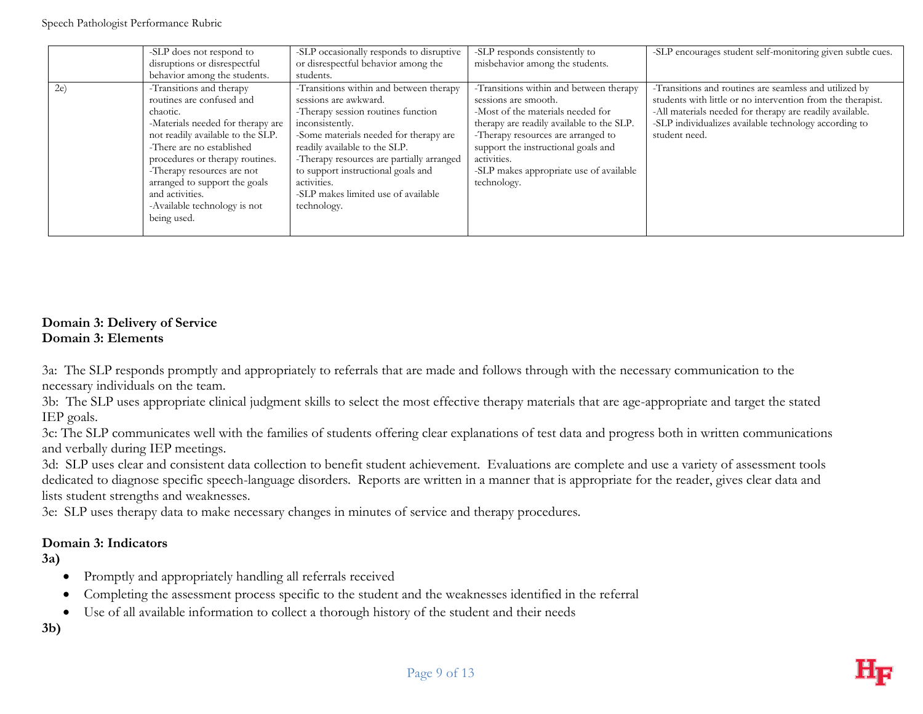|    | -SLP does not respond to<br>disruptions or disrespectful<br>behavior among the students.                                                                                                                                                                                                                                                     | -SLP occasionally responds to disruptive<br>or disrespectful behavior among the<br>students.                                                                                                                                                                                                                                                                 | -SLP responds consistently to<br>misbehavior among the students.                                                                                                                                                                                                                                        | -SLP encourages student self-monitoring given subtle cues.                                                                                                                                                                                                  |
|----|----------------------------------------------------------------------------------------------------------------------------------------------------------------------------------------------------------------------------------------------------------------------------------------------------------------------------------------------|--------------------------------------------------------------------------------------------------------------------------------------------------------------------------------------------------------------------------------------------------------------------------------------------------------------------------------------------------------------|---------------------------------------------------------------------------------------------------------------------------------------------------------------------------------------------------------------------------------------------------------------------------------------------------------|-------------------------------------------------------------------------------------------------------------------------------------------------------------------------------------------------------------------------------------------------------------|
| 2e | -Transitions and therapy<br>routines are confused and<br>chaotic.<br>-Materials needed for therapy are<br>not readily available to the SLP.<br>-There are no established<br>procedures or therapy routines.<br>-Therapy resources are not<br>arranged to support the goals<br>and activities.<br>-Available technology is not<br>being used. | -Transitions within and between therapy<br>sessions are awkward.<br>-Therapy session routines function<br>inconsistently.<br>-Some materials needed for therapy are<br>readily available to the SLP.<br>-Therapy resources are partially arranged<br>to support instructional goals and<br>activities.<br>-SLP makes limited use of available<br>technology. | -Transitions within and between therapy<br>sessions are smooth.<br>-Most of the materials needed for<br>therapy are readily available to the SLP.<br>-Therapy resources are arranged to<br>support the instructional goals and<br>activities.<br>-SLP makes appropriate use of available<br>technology. | -Transitions and routines are seamless and utilized by<br>students with little or no intervention from the therapist.<br>-All materials needed for therapy are readily available.<br>-SLP individualizes available technology according to<br>student need. |

#### **Domain 3: Delivery of Service Domain 3: Elements**

3a: The SLP responds promptly and appropriately to referrals that are made and follows through with the necessary communication to the necessary individuals on the team.

3b: The SLP uses appropriate clinical judgment skills to select the most effective therapy materials that are age-appropriate and target the stated IEP goals.

3c: The SLP communicates well with the families of students offering clear explanations of test data and progress both in written communications and verbally during IEP meetings.

3d: SLP uses clear and consistent data collection to benefit student achievement. Evaluations are complete and use a variety of assessment tools dedicated to diagnose specific speech-language disorders. Reports are written in a manner that is appropriate for the reader, gives clear data and lists student strengths and weaknesses.

3e: SLP uses therapy data to make necessary changes in minutes of service and therapy procedures.

#### **Domain 3: Indicators**

**3a)**

- Promptly and appropriately handling all referrals received
- Completing the assessment process specific to the student and the weaknesses identified in the referral
- Use of all available information to collect a thorough history of the student and their needs

**3b)**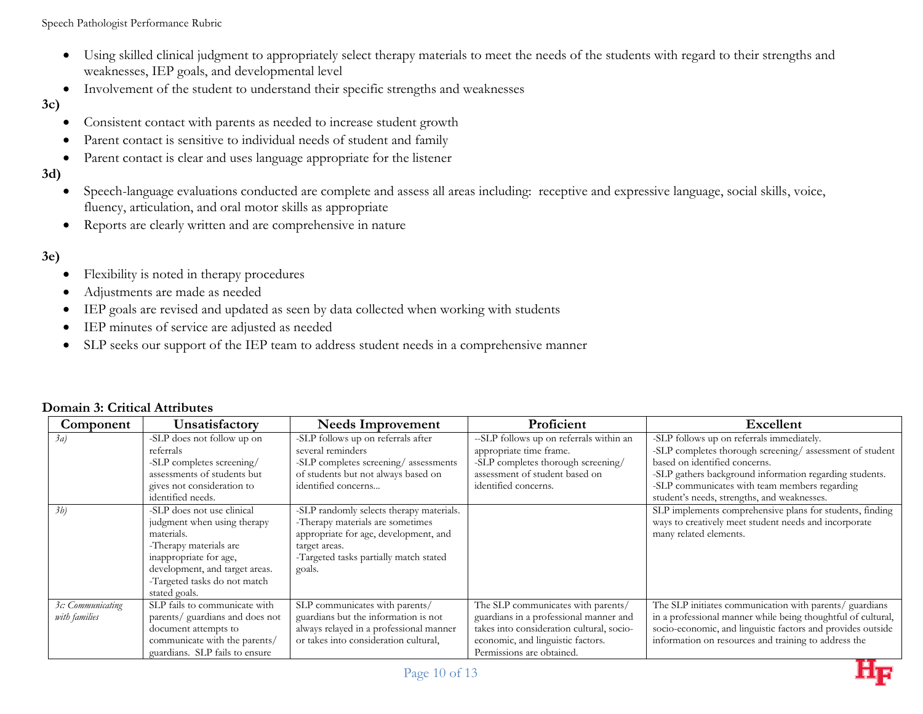Speech Pathologist Performance Rubric

- Using skilled clinical judgment to appropriately select therapy materials to meet the needs of the students with regard to their strengths and weaknesses, IEP goals, and developmental level
- Involvement of the student to understand their specific strengths and weaknesses

#### **3c)**

- Consistent contact with parents as needed to increase student growth
- Parent contact is sensitive to individual needs of student and family
- Parent contact is clear and uses language appropriate for the listener

#### **3d)**

- Speech-language evaluations conducted are complete and assess all areas including: receptive and expressive language, social skills, voice, fluency, articulation, and oral motor skills as appropriate
- Reports are clearly written and are comprehensive in nature

#### **3e)**

- Flexibility is noted in therapy procedures
- Adjustments are made as needed
- IEP goals are revised and updated as seen by data collected when working with students
- IEP minutes of service are adjusted as needed
- SLP seeks our support of the IEP team to address student needs in a comprehensive manner

| Component                          | Unsatisfactory                                                                                                                                                                                                 | <b>Needs Improvement</b>                                                                                                                                                                   | Proficient                                                                                                                                                                                  | <b>Excellent</b>                                                                                                                                                                                                                                                                                 |
|------------------------------------|----------------------------------------------------------------------------------------------------------------------------------------------------------------------------------------------------------------|--------------------------------------------------------------------------------------------------------------------------------------------------------------------------------------------|---------------------------------------------------------------------------------------------------------------------------------------------------------------------------------------------|--------------------------------------------------------------------------------------------------------------------------------------------------------------------------------------------------------------------------------------------------------------------------------------------------|
| 3a                                 | -SLP does not follow up on<br>referrals<br>-SLP completes screening/<br>assessments of students but<br>gives not consideration to<br>identified needs.                                                         | -SLP follows up on referrals after<br>several reminders<br>-SLP completes screening/assessments<br>of students but not always based on<br>identified concerns                              | --SLP follows up on referrals within an<br>appropriate time frame.<br>-SLP completes thorough screening/<br>assessment of student based on<br>identified concerns.                          | -SLP follows up on referrals immediately.<br>-SLP completes thorough screening/assessment of student<br>based on identified concerns.<br>-SLP gathers background information regarding students.<br>-SLP communicates with team members regarding<br>student's needs, strengths, and weaknesses. |
| 3b)                                | -SLP does not use clinical<br>judgment when using therapy<br>materials.<br>-Therapy materials are<br>inappropriate for age,<br>development, and target areas.<br>-Targeted tasks do not match<br>stated goals. | -SLP randomly selects therapy materials.<br>-Therapy materials are sometimes<br>appropriate for age, development, and<br>target areas.<br>-Targeted tasks partially match stated<br>goals. |                                                                                                                                                                                             | SLP implements comprehensive plans for students, finding<br>ways to creatively meet student needs and incorporate<br>many related elements.                                                                                                                                                      |
| 3c: Communicating<br>with families | SLP fails to communicate with<br>parents/ guardians and does not<br>document attempts to<br>communicate with the parents/<br>guardians. SLP fails to ensure                                                    | SLP communicates with parents/<br>guardians but the information is not<br>always relayed in a professional manner<br>or takes into consideration cultural,                                 | The SLP communicates with parents/<br>guardians in a professional manner and<br>takes into consideration cultural, socio-<br>economic, and linguistic factors.<br>Permissions are obtained. | The SLP initiates communication with parents/ guardians<br>in a professional manner while being thoughtful of cultural,<br>socio-economic, and linguistic factors and provides outside<br>information on resources and training to address the                                                   |

#### **Domain 3: Critical Attributes**

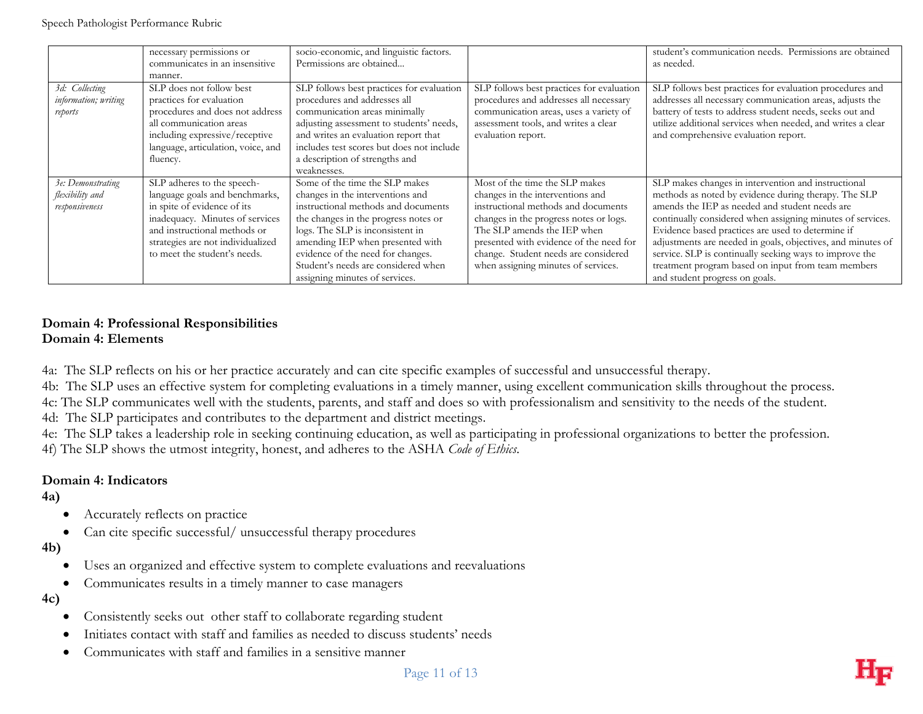|                                                        | necessary permissions or<br>communicates in an insensitive<br>manner.                                                                                                                                                               | socio-economic, and linguistic factors.<br>Permissions are obtained                                                                                                                                                                                                                                                                     |                                                                                                                                                                                                                                                                                                              | student's communication needs. Permissions are obtained<br>as needed.                                                                                                                                                                                                                                                                                                                                                                                                                              |
|--------------------------------------------------------|-------------------------------------------------------------------------------------------------------------------------------------------------------------------------------------------------------------------------------------|-----------------------------------------------------------------------------------------------------------------------------------------------------------------------------------------------------------------------------------------------------------------------------------------------------------------------------------------|--------------------------------------------------------------------------------------------------------------------------------------------------------------------------------------------------------------------------------------------------------------------------------------------------------------|----------------------------------------------------------------------------------------------------------------------------------------------------------------------------------------------------------------------------------------------------------------------------------------------------------------------------------------------------------------------------------------------------------------------------------------------------------------------------------------------------|
| 3d: Collecting<br>information; writing<br>reports      | SLP does not follow best<br>practices for evaluation<br>procedures and does not address<br>all communication areas<br>including expressive/receptive<br>language, articulation, voice, and<br>fluency.                              | SLP follows best practices for evaluation<br>procedures and addresses all<br>communication areas minimally<br>adjusting assessment to students' needs,<br>and writes an evaluation report that<br>includes test scores but does not include<br>a description of strengths and<br>weaknesses.                                            | SLP follows best practices for evaluation<br>procedures and addresses all necessary<br>communication areas, uses a variety of<br>assessment tools, and writes a clear<br>evaluation report.                                                                                                                  | SLP follows best practices for evaluation procedures and<br>addresses all necessary communication areas, adjusts the<br>battery of tests to address student needs, seeks out and<br>utilize additional services when needed, and writes a clear<br>and comprehensive evaluation report.                                                                                                                                                                                                            |
| 3e: Demonstrating<br>flexibility and<br>responsiveness | SLP adheres to the speech-<br>language goals and benchmarks,<br>in spite of evidence of its<br>inadequacy. Minutes of services<br>and instructional methods or<br>strategies are not individualized<br>to meet the student's needs. | Some of the time the SLP makes<br>changes in the interventions and<br>instructional methods and documents<br>the changes in the progress notes or<br>logs. The SLP is inconsistent in<br>amending IEP when presented with<br>evidence of the need for changes.<br>Student's needs are considered when<br>assigning minutes of services. | Most of the time the SLP makes<br>changes in the interventions and<br>instructional methods and documents<br>changes in the progress notes or logs.<br>The SLP amends the IEP when<br>presented with evidence of the need for<br>change. Student needs are considered<br>when assigning minutes of services. | SLP makes changes in intervention and instructional<br>methods as noted by evidence during therapy. The SLP<br>amends the IEP as needed and student needs are<br>continually considered when assigning minutes of services.<br>Evidence based practices are used to determine if<br>adjustments are needed in goals, objectives, and minutes of<br>service. SLP is continually seeking ways to improve the<br>treatment program based on input from team members<br>and student progress on goals. |

## **Domain 4: Professional Responsibilities Domain 4: Elements**

4a: The SLP reflects on his or her practice accurately and can cite specific examples of successful and unsuccessful therapy.

4b: The SLP uses an effective system for completing evaluations in a timely manner, using excellent communication skills throughout the process.

4c: The SLP communicates well with the students, parents, and staff and does so with professionalism and sensitivity to the needs of the student. 4d: The SLP participates and contributes to the department and district meetings.

4e: The SLP takes a leadership role in seeking continuing education, as well as participating in professional organizations to better the profession. 4f) The SLP shows the utmost integrity, honest, and adheres to the ASHA *Code of Ethics*.

## **Domain 4: Indicators**

**4a)**

- Accurately reflects on practice
- Can cite specific successful/ unsuccessful therapy procedures
- **4b)**
	- Uses an organized and effective system to complete evaluations and reevaluations
	- Communicates results in a timely manner to case managers
- **4c)**
	- Consistently seeks out other staff to collaborate regarding student
	- Initiates contact with staff and families as needed to discuss students' needs
	- Communicates with staff and families in a sensitive manner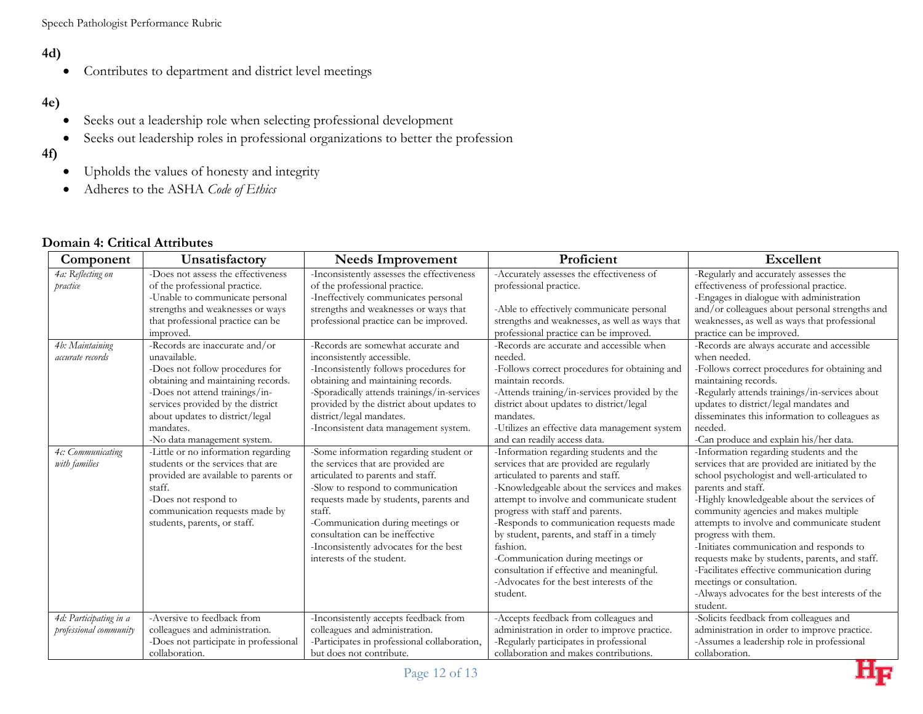# **4d)**

Contributes to department and district level meetings

# **4e)**

- Seeks out a leadership role when selecting professional development
- Seeks out leadership roles in professional organizations to better the profession
- **4f)**
- Upholds the values of honesty and integrity
- Adheres to the ASHA *Code of Ethics*

#### **Component Unsatisfactory Needs Improvement Proficient Proficient Excellent** *4a: Reflecting on practice* -Does not assess the effectiveness of the professional practice. -Unable to communicate personal strengths and weaknesses or ways that professional practice can be improved. -Inconsistently assesses the effectiveness of the professional practice. -Ineffectively communicates personal strengths and weaknesses or ways that professional practice can be improved. -Accurately assesses the effectiveness of professional practice. -Able to effectively communicate personal strengths and weaknesses, as well as ways that professional practice can be improved. -Regularly and accurately assesses the effectiveness of professional practice. -Engages in dialogue with administration and/or colleagues about personal strengths and weaknesses, as well as ways that professional practice can be improved. *4b: Maintaining accurate records* -Records are inaccurate and/or unavailable. -Does not follow procedures for obtaining and maintaining records. -Does not attend trainings/inservices provided by the district about updates to district/legal mandates. -No data management system. -Records are somewhat accurate and inconsistently accessible. -Inconsistently follows procedures for obtaining and maintaining records. -Sporadically attends trainings/in-services provided by the district about updates to district/legal mandates. -Inconsistent data management system. -Records are accurate and accessible when needed. -Follows correct procedures for obtaining and maintain records. -Attends training/in-services provided by the district about updates to district/legal mandates. -Utilizes an effective data management system and can readily access data. -Records are always accurate and accessible when needed. -Follows correct procedures for obtaining and maintaining records. -Regularly attends trainings/in-services about updates to district/legal mandates and disseminates this information to colleagues as needed. -Can produce and explain his/her data. *4c: Communicating with families* -Little or no information regarding students or the services that are provided are available to parents or staff. -Does not respond to communication requests made by students, parents, or staff. -Some information regarding student or the services that are provided are articulated to parents and staff. -Slow to respond to communication requests made by students, parents and staff. -Communication during meetings or consultation can be ineffective -Inconsistently advocates for the best interests of the student. -Information regarding students and the services that are provided are regularly articulated to parents and staff. -Knowledgeable about the services and makes attempt to involve and communicate student progress with staff and parents. -Responds to communication requests made by student, parents, and staff in a timely fashion. -Communication during meetings or consultation if effective and meaningful. -Advocates for the best interests of the student. -Information regarding students and the services that are provided are initiated by the school psychologist and well-articulated to parents and staff. -Highly knowledgeable about the services of community agencies and makes multiple attempts to involve and communicate student progress with them. -Initiates communication and responds to requests make by students, parents, and staff. -Facilitates effective communication during meetings or consultation. -Always advocates for the best interests of the student. *4d: Participating in a professional community* -Aversive to feedback from colleagues and administration. -Does not participate in professional collaboration. -Inconsistently accepts feedback from colleagues and administration. -Participates in professional collaboration, but does not contribute. -Accepts feedback from colleagues and administration in order to improve practice. -Regularly participates in professional collaboration and makes contributions. -Solicits feedback from colleagues and administration in order to improve practice. -Assumes a leadership role in professional collaboration.

## **Domain 4: Critical Attributes**